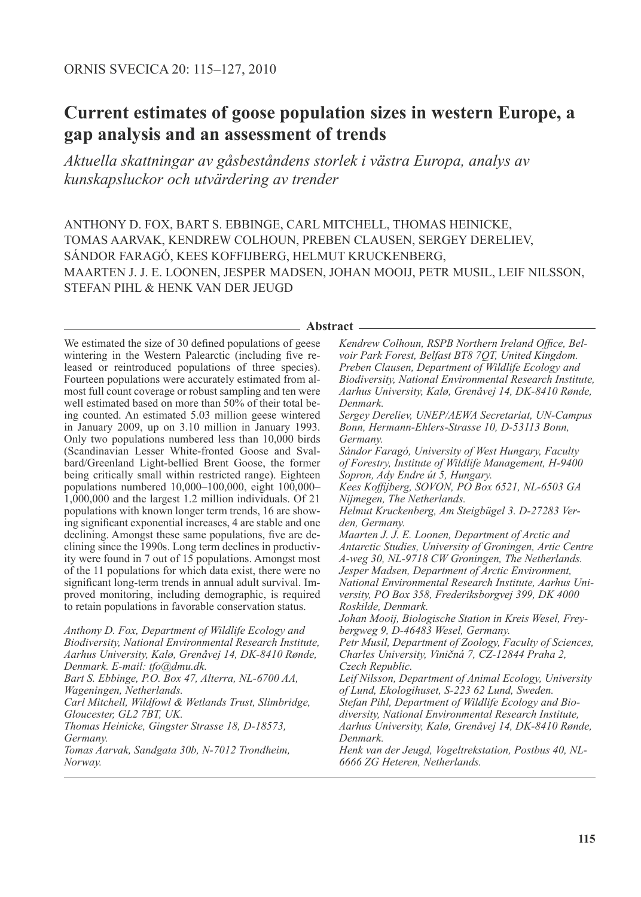# **Current estimates of goose population sizes in western Europe, a gap analysis and an assessment of trends**

*Aktuella skattningar av gåsbeståndens storlek i västra Europa, analys av kunskapsluckor och utvärdering av trender* 

ANTHONY D. FOX, BART S. EBBINGE, CARL MITCHELL, THOMAS HEINICKE, TOMAS AARVAK, KENDREW COLHOUN, PREBEN CLAUSEN, SERGEY DERELIEV, SÁNDOR FARAGÓ, KEES KOFFIJBERG, HELMUT KRUCKENBERG, MAARTEN J. J. E. LOONEN, JESPER MADSEN, JOHAN MOOIJ, PETR MUSIL, LEIF NILSSON, STEFAN PIHL & HENK VAN DER JEUGD

#### **Abstract**

We estimated the size of 30 defined populations of geese wintering in the Western Palearctic (including five released or reintroduced populations of three species). Fourteen populations were accurately estimated from almost full count coverage or robust sampling and ten were well estimated based on more than 50% of their total being counted. An estimated 5.03 million geese wintered in January 2009, up on 3.10 million in January 1993. Only two populations numbered less than 10,000 birds (Scandinavian Lesser White-fronted Goose and Svalbard/Greenland Light-bellied Brent Goose, the former being critically small within restricted range). Eighteen populations numbered 10,000–100,000, eight 100,000– 1,000,000 and the largest 1.2 million individuals. Of 21 populations with known longer term trends, 16 are showing significant exponential increases, 4 are stable and one declining. Amongst these same populations, five are declining since the 1990s. Long term declines in productivity were found in 7 out of 15 populations. Amongst most of the 11 populations for which data exist, there were no significant long-term trends in annual adult survival. Improved monitoring, including demographic, is required to retain populations in favorable conservation status.

*Anthony D. Fox, Department of Wildlife Ecology and Biodiversity, National Environmental Research Institute, Aarhus University, Kalø, Grenåvej 14, DK-8410 Rønde, Denmark. E-mail: tfo@dmu.dk. Bart S. Ebbinge, P.O. Box 47, Alterra, NL-6700 AA, Wageningen, Netherlands. Carl Mitchell, Wildfowl & Wetlands Trust, Slimbridge, Gloucester, GL2 7BT, UK. Thomas Heinicke, Gingster Strasse 18, D-18573, Germany. Tomas Aarvak, Sandgata 30b, N-7012 Trondheim, Norway.*

*Kendrew Colhoun, RSPB Northern Ireland Office, Belvoir Park Forest, Belfast BT8 7QT, United Kingdom. Preben Clausen, Department of Wildlife Ecology and Biodiversity, National Environmental Research Institute, Aarhus University, Kalø, Grenåvej 14, DK-8410 Rønde, Denmark. Sergey Dereliev, UNEP/AEWA Secretariat, UN-Campus Bonn, Hermann-Ehlers-Strasse 10, D-53113 Bonn, Germany. Sándor Faragó, University of West Hungary, Faculty of Forestry, Institute of Wildlife Management, H-9400 Sopron, Ady Endre út 5, Hungary. Kees Koffijberg, SOVON, PO Box 6521, NL-6503 GA Nijmegen, The Netherlands. Helmut Kruckenberg, Am Steigbügel 3. D-27283 Verden, Germany. Maarten J. J. E. Loonen, Department of Arctic and Antarctic Studies, University of Groningen, Artic Centre A-weg 30, NL-9718 CW Groningen, The Netherlands. Jesper Madsen, Department of Arctic Environment, National Environmental Research Institute, Aarhus University, PO Box 358, Frederiksborgvej 399, DK 4000 Roskilde, Denmark. Johan Mooij, Biologische Station in Kreis Wesel, Freybergweg 9, D-46483 Wesel, Germany. Petr Musil, Department of Zoology, Faculty of Sciences, Charles University, Vini*c*ná 7, CZ-12844 Praha 2, Czech Republic. Leif Nilsson, Department of Animal Ecology, University of Lund, Ekologihuset, S-223 62 Lund, Sweden. Stefan Pihl, Department of Wildlife Ecology and Biodiversity, National Environmental Research Institute, Aarhus University, Kalø, Grenåvej 14, DK-8410 Rønde, Denmark. Henk van der Jeugd, Vogeltrekstation, Postbus 40, NL-6666 ZG Heteren, Netherlands.*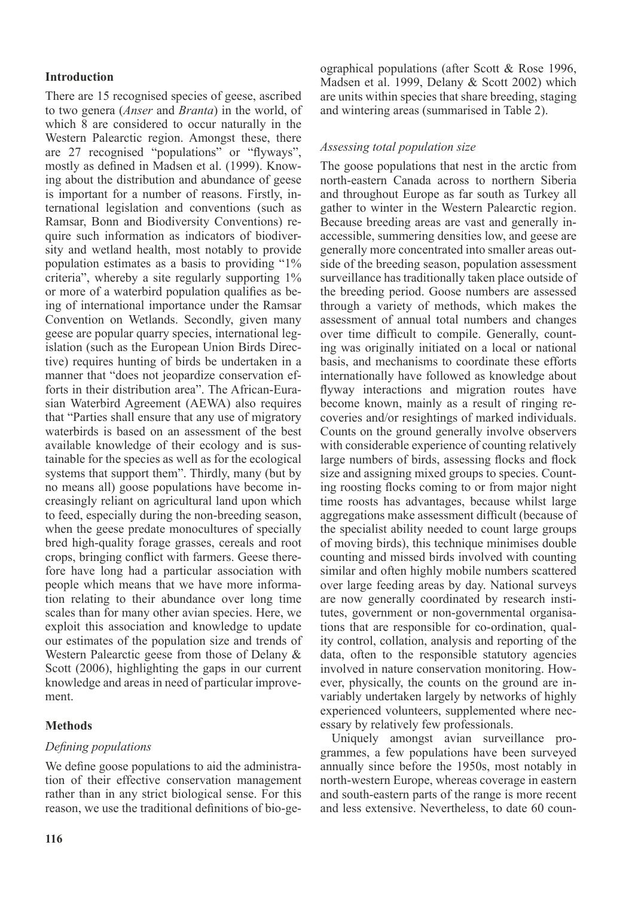# **Introduction**

There are 15 recognised species of geese, ascribed to two genera (*Anser* and *Branta*) in the world, of which 8 are considered to occur naturally in the Western Palearctic region. Amongst these, there are 27 recognised "populations" or "flyways", mostly as defined in Madsen et al. (1999). Knowing about the distribution and abundance of geese is important for a number of reasons. Firstly, international legislation and conventions (such as Ramsar, Bonn and Biodiversity Conventions) require such information as indicators of biodiversity and wetland health, most notably to provide population estimates as a basis to providing "1% criteria", whereby a site regularly supporting 1% or more of a waterbird population qualifies as being of international importance under the Ramsar Convention on Wetlands. Secondly, given many geese are popular quarry species, international legislation (such as the European Union Birds Directive) requires hunting of birds be undertaken in a manner that "does not jeopardize conservation efforts in their distribution area". The African-Eurasian Waterbird Agreement (AEWA) also requires that "Parties shall ensure that any use of migratory waterbirds is based on an assessment of the best available knowledge of their ecology and is sustainable for the species as well as for the ecological systems that support them". Thirdly, many (but by no means all) goose populations have become increasingly reliant on agricultural land upon which to feed, especially during the non-breeding season, when the geese predate monocultures of specially bred high-quality forage grasses, cereals and root crops, bringing conflict with farmers. Geese therefore have long had a particular association with people which means that we have more information relating to their abundance over long time scales than for many other avian species. Here, we exploit this association and knowledge to update our estimates of the population size and trends of Western Palearctic geese from those of Delany & Scott (2006), highlighting the gaps in our current knowledge and areas in need of particular improvement.

## **Methods**

## *Defining populations*

We define goose populations to aid the administration of their effective conservation management rather than in any strict biological sense. For this reason, we use the traditional definitions of bio-geographical populations (after Scott & Rose 1996, Madsen et al. 1999, Delany & Scott 2002) which are units within species that share breeding, staging and wintering areas (summarised in Table 2).

## *Assessing total population size*

The goose populations that nest in the arctic from north-eastern Canada across to northern Siberia and throughout Europe as far south as Turkey all gather to winter in the Western Palearctic region. Because breeding areas are vast and generally inaccessible, summering densities low, and geese are generally more concentrated into smaller areas outside of the breeding season, population assessment surveillance has traditionally taken place outside of the breeding period. Goose numbers are assessed through a variety of methods, which makes the assessment of annual total numbers and changes over time difficult to compile. Generally, counting was originally initiated on a local or national basis, and mechanisms to coordinate these efforts internationally have followed as knowledge about flyway interactions and migration routes have become known, mainly as a result of ringing recoveries and/or resightings of marked individuals. Counts on the ground generally involve observers with considerable experience of counting relatively large numbers of birds, assessing flocks and flock size and assigning mixed groups to species. Counting roosting flocks coming to or from major night time roosts has advantages, because whilst large aggregations make assessment difficult (because of the specialist ability needed to count large groups of moving birds), this technique minimises double counting and missed birds involved with counting similar and often highly mobile numbers scattered over large feeding areas by day. National surveys are now generally coordinated by research institutes, government or non-governmental organisations that are responsible for co-ordination, quality control, collation, analysis and reporting of the data, often to the responsible statutory agencies involved in nature conservation monitoring. However, physically, the counts on the ground are invariably undertaken largely by networks of highly experienced volunteers, supplemented where necessary by relatively few professionals.

Uniquely amongst avian surveillance programmes, a few populations have been surveyed annually since before the 1950s, most notably in north-western Europe, whereas coverage in eastern and south-eastern parts of the range is more recent and less extensive. Nevertheless, to date 60 coun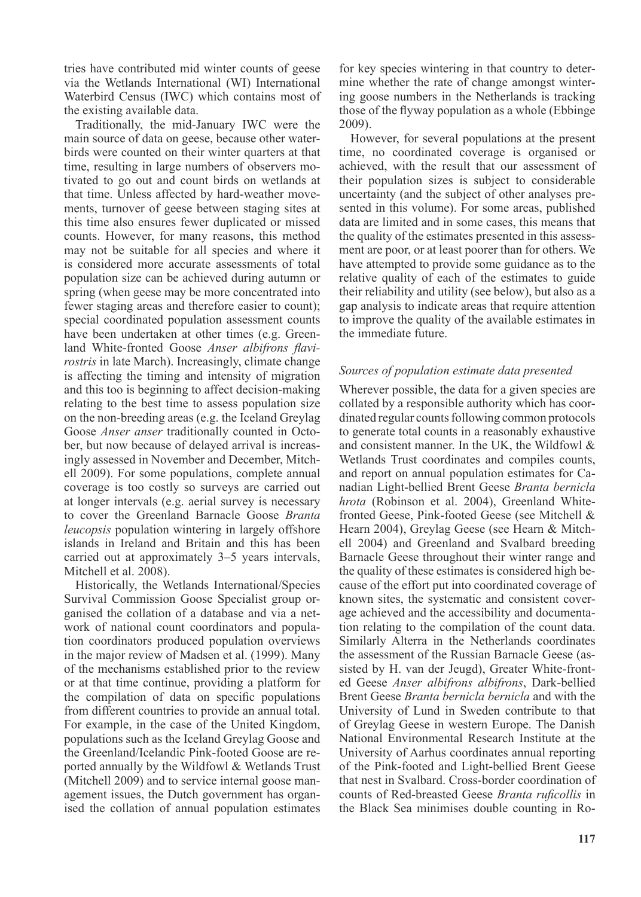tries have contributed mid winter counts of geese via the Wetlands International (WI) International Waterbird Census (IWC) which contains most of the existing available data.

Traditionally, the mid-January IWC were the main source of data on geese, because other waterbirds were counted on their winter quarters at that time, resulting in large numbers of observers motivated to go out and count birds on wetlands at that time. Unless affected by hard-weather movements, turnover of geese between staging sites at this time also ensures fewer duplicated or missed counts. However, for many reasons, this method may not be suitable for all species and where it is considered more accurate assessments of total population size can be achieved during autumn or spring (when geese may be more concentrated into fewer staging areas and therefore easier to count); special coordinated population assessment counts have been undertaken at other times (e.g. Greenland White-fronted Goose *Anser albifrons flavirostris* in late March). Increasingly, climate change is affecting the timing and intensity of migration and this too is beginning to affect decision-making relating to the best time to assess population size on the non-breeding areas (e.g. the Iceland Greylag Goose *Anser anser* traditionally counted in October, but now because of delayed arrival is increasingly assessed in November and December, Mitchell 2009). For some populations, complete annual coverage is too costly so surveys are carried out at longer intervals (e.g. aerial survey is necessary to cover the Greenland Barnacle Goose *Branta leucopsis* population wintering in largely offshore islands in Ireland and Britain and this has been carried out at approximately 3–5 years intervals, Mitchell et al. 2008).

Historically, the Wetlands International/Species Survival Commission Goose Specialist group organised the collation of a database and via a network of national count coordinators and population coordinators produced population overviews in the major review of Madsen et al. (1999). Many of the mechanisms established prior to the review or at that time continue, providing a platform for the compilation of data on specific populations from different countries to provide an annual total. For example, in the case of the United Kingdom, populations such as the Iceland Greylag Goose and the Greenland/Icelandic Pink-footed Goose are reported annually by the Wildfowl & Wetlands Trust (Mitchell 2009) and to service internal goose management issues, the Dutch government has organised the collation of annual population estimates for key species wintering in that country to determine whether the rate of change amongst wintering goose numbers in the Netherlands is tracking those of the flyway population as a whole (Ebbinge 2009).

However, for several populations at the present time, no coordinated coverage is organised or achieved, with the result that our assessment of their population sizes is subject to considerable uncertainty (and the subject of other analyses presented in this volume). For some areas, published data are limited and in some cases, this means that the quality of the estimates presented in this assessment are poor, or at least poorer than for others. We have attempted to provide some guidance as to the relative quality of each of the estimates to guide their reliability and utility (see below), but also as a gap analysis to indicate areas that require attention to improve the quality of the available estimates in the immediate future.

#### *Sources of population estimate data presented*

Wherever possible, the data for a given species are collated by a responsible authority which has coordinated regular counts following common protocols to generate total counts in a reasonably exhaustive and consistent manner. In the UK, the Wildfowl & Wetlands Trust coordinates and compiles counts, and report on annual population estimates for Canadian Light-bellied Brent Geese *Branta bernicla hrota* (Robinson et al. 2004), Greenland Whitefronted Geese, Pink-footed Geese (see Mitchell & Hearn 2004), Greylag Geese (see Hearn & Mitchell 2004) and Greenland and Svalbard breeding Barnacle Geese throughout their winter range and the quality of these estimates is considered high because of the effort put into coordinated coverage of known sites, the systematic and consistent coverage achieved and the accessibility and documentation relating to the compilation of the count data. Similarly Alterra in the Netherlands coordinates the assessment of the Russian Barnacle Geese (assisted by H. van der Jeugd), Greater White-fronted Geese *Anser albifrons albifrons*, Dark-bellied Brent Geese *Branta bernicla bernicla* and with the University of Lund in Sweden contribute to that of Greylag Geese in western Europe. The Danish National Environmental Research Institute at the University of Aarhus coordinates annual reporting of the Pink-footed and Light-bellied Brent Geese that nest in Svalbard. Cross-border coordination of counts of Red-breasted Geese *Branta ruficollis* in the Black Sea minimises double counting in Ro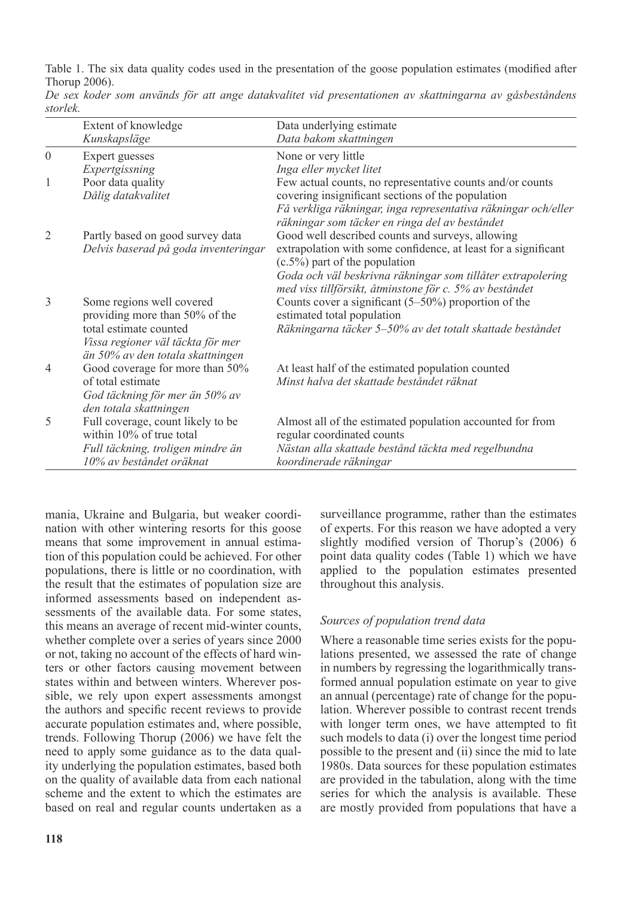Table 1. The six data quality codes used in the presentation of the goose population estimates (modified after Thorup 2006).

|                | Extent of knowledge                                           | Data underlying estimate                                                                       |
|----------------|---------------------------------------------------------------|------------------------------------------------------------------------------------------------|
|                | Kunskapsläge                                                  | Data bakom skattningen                                                                         |
| $\theta$       | Expert guesses                                                | None or very little                                                                            |
|                | Expertgissning                                                | Inga eller mycket litet                                                                        |
| 1              | Poor data quality                                             | Few actual counts, no representative counts and/or counts                                      |
|                | Dålig datakvalitet                                            | covering insignificant sections of the population                                              |
|                |                                                               | Få verkliga räkningar, inga representativa räkningar och/eller                                 |
|                |                                                               | räkningar som täcker en ringa del av beståndet                                                 |
| $\overline{2}$ | Partly based on good survey data                              | Good well described counts and surveys, allowing                                               |
|                | Delvis baserad på goda inventeringar                          | extrapolation with some confidence, at least for a significant                                 |
|                |                                                               | $(c.5\%)$ part of the population                                                               |
|                |                                                               | Goda och väl beskrivna räkningar som tillåter extrapolering                                    |
|                |                                                               | med viss tillförsikt, åtminstone för c. 5% av beståndet                                        |
| 3              | Some regions well covered                                     | Counts cover a significant $(5-50\%)$ proportion of the                                        |
|                | providing more than 50% of the                                | estimated total population                                                                     |
|                | total estimate counted                                        | Räkningarna täcker 5–50% av det totalt skattade beståndet                                      |
|                | Vissa regioner väl täckta för mer                             |                                                                                                |
| $\overline{4}$ | än 50% av den totala skattningen                              |                                                                                                |
|                | Good coverage for more than 50%<br>of total estimate          | At least half of the estimated population counted<br>Minst halva det skattade beståndet räknat |
|                |                                                               |                                                                                                |
|                | God täckning för mer än 50% av                                |                                                                                                |
|                | den totala skattningen                                        |                                                                                                |
| 5              | Full coverage, count likely to be<br>within 10% of true total | Almost all of the estimated population accounted for from                                      |
|                |                                                               | regular coordinated counts                                                                     |
|                | Full täckning, troligen mindre än<br>10% av beståndet oräknat | Nästan alla skattade bestånd täckta med regelbundna                                            |
|                |                                                               | koordinerade räkningar                                                                         |

*De sex koder som används för att ange datakvalitet vid presentationen av skattningarna av gåsbeståndens storlek.*

mania, Ukraine and Bulgaria, but weaker coordination with other wintering resorts for this goose means that some improvement in annual estimation of this population could be achieved. For other populations, there is little or no coordination, with the result that the estimates of population size are informed assessments based on independent assessments of the available data. For some states, this means an average of recent mid-winter counts, whether complete over a series of years since 2000 or not, taking no account of the effects of hard winters or other factors causing movement between states within and between winters. Wherever possible, we rely upon expert assessments amongst the authors and specific recent reviews to provide accurate population estimates and, where possible, trends. Following Thorup (2006) we have felt the need to apply some guidance as to the data quality underlying the population estimates, based both on the quality of available data from each national scheme and the extent to which the estimates are based on real and regular counts undertaken as a surveillance programme, rather than the estimates of experts. For this reason we have adopted a very slightly modified version of Thorup's (2006) 6 point data quality codes (Table 1) which we have applied to the population estimates presented throughout this analysis.

#### *Sources of population trend data*

Where a reasonable time series exists for the populations presented, we assessed the rate of change in numbers by regressing the logarithmically transformed annual population estimate on year to give an annual (percentage) rate of change for the population. Wherever possible to contrast recent trends with longer term ones, we have attempted to fit such models to data (i) over the longest time period possible to the present and (ii) since the mid to late 1980s. Data sources for these population estimates are provided in the tabulation, along with the time series for which the analysis is available. These are mostly provided from populations that have a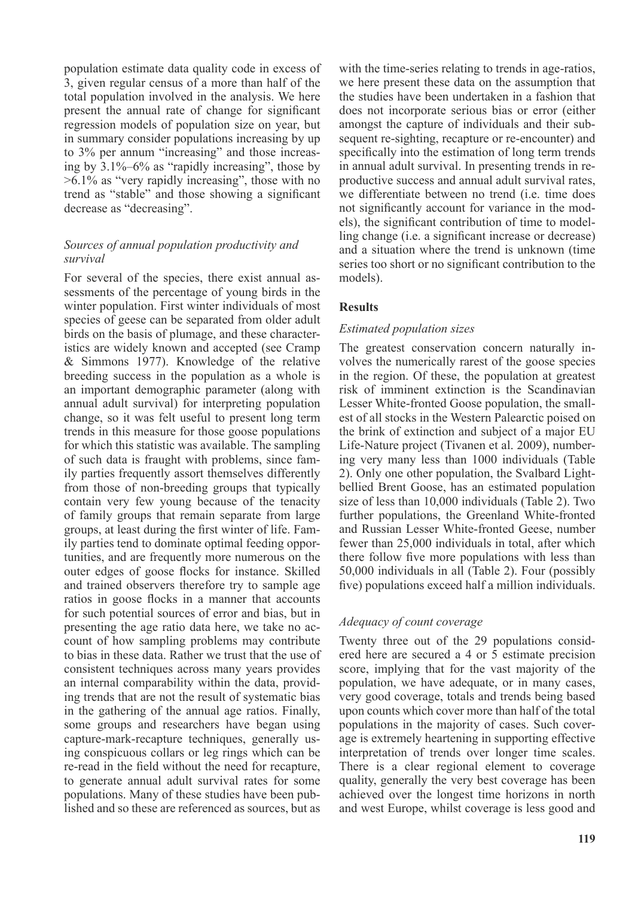population estimate data quality code in excess of 3, given regular census of a more than half of the total population involved in the analysis. We here present the annual rate of change for significant regression models of population size on year, but in summary consider populations increasing by up to 3% per annum "increasing" and those increasing by 3.1%–6% as "rapidly increasing", those by >6.1% as "very rapidly increasing", those with no trend as "stable" and those showing a significant decrease as "decreasing".

## *Sources of annual population productivity and survival*

For several of the species, there exist annual assessments of the percentage of young birds in the winter population. First winter individuals of most species of geese can be separated from older adult birds on the basis of plumage, and these characteristics are widely known and accepted (see Cramp & Simmons 1977). Knowledge of the relative breeding success in the population as a whole is an important demographic parameter (along with annual adult survival) for interpreting population change, so it was felt useful to present long term trends in this measure for those goose populations for which this statistic was available. The sampling of such data is fraught with problems, since family parties frequently assort themselves differently from those of non-breeding groups that typically contain very few young because of the tenacity of family groups that remain separate from large groups, at least during the first winter of life. Family parties tend to dominate optimal feeding opportunities, and are frequently more numerous on the outer edges of goose flocks for instance. Skilled and trained observers therefore try to sample age ratios in goose flocks in a manner that accounts for such potential sources of error and bias, but in presenting the age ratio data here, we take no account of how sampling problems may contribute to bias in these data. Rather we trust that the use of consistent techniques across many years provides an internal comparability within the data, providing trends that are not the result of systematic bias in the gathering of the annual age ratios. Finally, some groups and researchers have began using capture-mark-recapture techniques, generally using conspicuous collars or leg rings which can be re-read in the field without the need for recapture, to generate annual adult survival rates for some populations. Many of these studies have been published and so these are referenced as sources, but as

with the time-series relating to trends in age-ratios, we here present these data on the assumption that the studies have been undertaken in a fashion that does not incorporate serious bias or error (either amongst the capture of individuals and their subsequent re-sighting, recapture or re-encounter) and specifically into the estimation of long term trends in annual adult survival. In presenting trends in reproductive success and annual adult survival rates, we differentiate between no trend (i.e. time does not significantly account for variance in the models), the significant contribution of time to modelling change (i.e. a significant increase or decrease) and a situation where the trend is unknown (time series too short or no significant contribution to the models).

## **Results**

## *Estimated population sizes*

The greatest conservation concern naturally involves the numerically rarest of the goose species in the region. Of these, the population at greatest risk of imminent extinction is the Scandinavian Lesser White-fronted Goose population, the smallest of all stocks in the Western Palearctic poised on the brink of extinction and subject of a major EU Life-Nature project (Tivanen et al. 2009), numbering very many less than 1000 individuals (Table 2). Only one other population, the Svalbard Lightbellied Brent Goose, has an estimated population size of less than 10,000 individuals (Table 2). Two further populations, the Greenland White-fronted and Russian Lesser White-fronted Geese, number fewer than 25,000 individuals in total, after which there follow five more populations with less than 50,000 individuals in all (Table 2). Four (possibly five) populations exceed half a million individuals.

## *Adequacy of count coverage*

Twenty three out of the 29 populations considered here are secured a 4 or 5 estimate precision score, implying that for the vast majority of the population, we have adequate, or in many cases, very good coverage, totals and trends being based upon counts which cover more than half of the total populations in the majority of cases. Such coverage is extremely heartening in supporting effective interpretation of trends over longer time scales. There is a clear regional element to coverage quality, generally the very best coverage has been achieved over the longest time horizons in north and west Europe, whilst coverage is less good and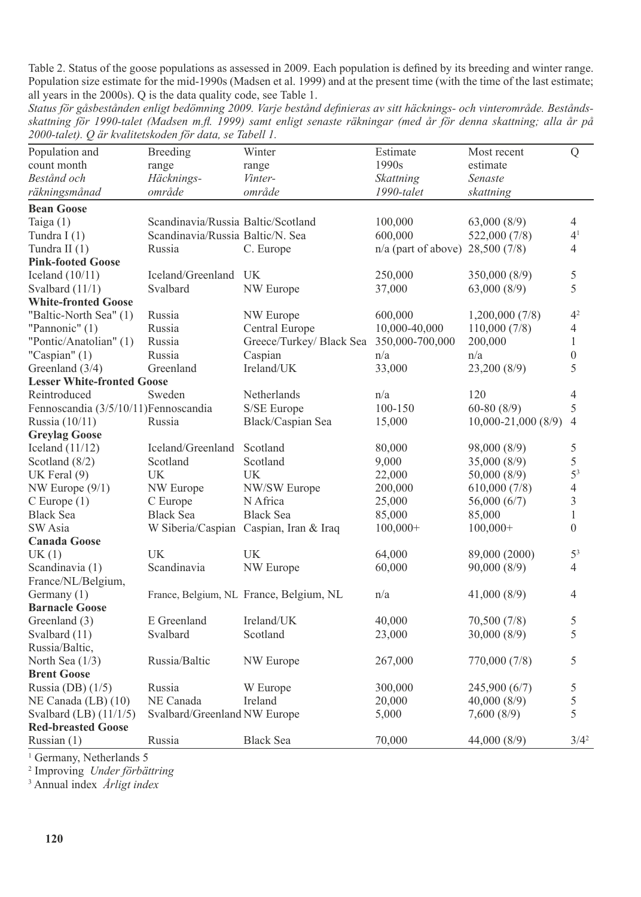Table 2. Status of the goose populations as assessed in 2009. Each population is defined by its breeding and winter range. Population size estimate for the mid-1990s (Madsen et al. 1999) and at the present time (with the time of the last estimate; all years in the 2000s). Q is the data quality code, see Table 1.

*Status för gåsbestånden enligt bedömning 2009. Varje bestånd definieras av sitt häcknings- och vinterområde. Beståndsskattning för 1990-talet (Madsen m.fl. 1999) samt enligt senaste räkningar (med år för denna skattning; alla år på 2000-talet). Q är kvalitetskoden för data, se Tabell 1.*

| Population and                        | <b>Breeding</b>                    | Winter                                   | Estimate                           | Most recent            | Q              |
|---------------------------------------|------------------------------------|------------------------------------------|------------------------------------|------------------------|----------------|
| count month                           | range                              | range                                    | 1990s                              | estimate               |                |
| Bestånd och                           | Häcknings-                         | Vinter-                                  | Skattning                          | Senaste                |                |
| räkningsmånad                         | område                             | område                                   | 1990-talet                         | skattning              |                |
| <b>Bean Goose</b>                     |                                    |                                          |                                    |                        |                |
| Taiga $(1)$                           | Scandinavia/Russia Baltic/Scotland |                                          | 100,000                            | 63,000(8/9)            | 4              |
| Tundra I $(1)$                        | Scandinavia/Russia Baltic/N. Sea   |                                          | 600,000                            | 522,000 (7/8)          | 4 <sup>1</sup> |
| Tundra II $(1)$                       | Russia                             | C. Europe                                | $n/a$ (part of above) 28,500 (7/8) |                        | $\overline{4}$ |
| <b>Pink-footed Goose</b>              |                                    |                                          |                                    |                        |                |
| Iceland $(10/11)$                     | Iceland/Greenland                  | UK                                       | 250,000                            | 350,000(8/9)           | 5              |
| Svalbard (11/1)                       | Svalbard                           | NW Europe                                | 37,000                             | 63,000(8/9)            | 5              |
| <b>White-fronted Goose</b>            |                                    |                                          |                                    |                        |                |
| "Baltic-North Sea" (1)                | Russia                             | NW Europe                                | 600,000                            | 1,200,000(7/8)         | 4 <sup>2</sup> |
| "Pannonic" $(1)$                      | Russia                             | Central Europe                           | 10,000-40,000                      | 110,000(7/8)           | 4              |
| "Pontic/Anatolian" (1)                | Russia                             | Greece/Turkey/ Black Sea 350,000-700,000 |                                    | 200,000                | $\mathbf{1}$   |
| "Caspian" (1)                         | Russia                             | Caspian                                  | n/a                                | n/a                    | $\mathbf{0}$   |
| Greenland (3/4)                       | Greenland                          | Ireland/UK                               | 33,000                             | 23,200 (8/9)           | 5              |
| <b>Lesser White-fronted Goose</b>     |                                    |                                          |                                    |                        |                |
| Reintroduced                          | Sweden                             | Netherlands                              | n/a                                | 120                    | $\overline{4}$ |
| Fennoscandia (3/5/10/11) Fennoscandia |                                    | S/SE Europe                              | 100-150                            | $60-80(8/9)$           | 5              |
| Russia (10/11)                        | Russia                             | Black/Caspian Sea                        | 15,000                             | $10,000 - 21,000(8/9)$ | $\overline{4}$ |
| <b>Greylag Goose</b>                  |                                    |                                          |                                    |                        |                |
| Iceland $(11/12)$                     | Iceland/Greenland                  | Scotland                                 | 80,000                             | 98,000 (8/9)           | 5              |
| Scotland $(8/2)$                      | Scotland                           | Scotland                                 | 9,000                              | 35,000 (8/9)           | 5              |
| UK Feral $(9)$                        | UK                                 | UK                                       | 22,000                             | 50,000(8/9)            | 5 <sup>3</sup> |
| NW Europe $(9/1)$                     | NW Europe                          | NW/SW Europe                             | 200,000                            | 610,000(7/8)           | $\overline{4}$ |
| $C$ Europe $(1)$                      | C Europe                           | N Africa                                 | 25,000                             | 56,000(6/7)            | 3              |
| Black Sea                             | <b>Black Sea</b>                   | <b>Black Sea</b>                         | 85,000                             | 85,000                 | $\mathbf{1}$   |
| SW Asia                               |                                    | W Siberia/Caspian Caspian, Iran & Iraq   | $100,000+$                         | $100,000+$             | $\theta$       |
| <b>Canada Goose</b>                   |                                    |                                          |                                    |                        |                |
| UK(1)                                 | UK                                 | UK                                       | 64,000                             | 89,000 (2000)          | 5 <sup>3</sup> |
| Scandinavia (1)                       | Scandinavia                        | NW Europe                                | 60,000                             | 90,000(8/9)            | 4              |
| France/NL/Belgium,                    |                                    |                                          |                                    |                        |                |
| Germany (1)                           |                                    | France, Belgium, NL France, Belgium, NL  | n/a                                | 41,000(8/9)            | $\overline{4}$ |
| <b>Barnacle Goose</b>                 |                                    |                                          |                                    |                        |                |
| Greenland (3)                         | E Greenland                        | Ireland/UK                               | 40,000                             | 70,500 (7/8)           | 5              |
| Svalbard (11)                         | Svalbard                           | Scotland                                 | 23,000                             | 30,000(8/9)            | 5              |
| Russia/Baltic,                        |                                    |                                          |                                    |                        |                |
| North Sea (1/3)                       | Russia/Baltic                      | NW Europe                                | 267,000                            | 770,000 (7/8)          | 5              |
| <b>Brent Goose</b>                    |                                    |                                          |                                    |                        |                |
| Russia (DB) $(1/5)$                   | Russia                             | W Europe                                 | 300,000                            | 245,900 (6/7)          | $\mathfrak s$  |
| NE Canada (LB) (10)                   | NE Canada                          | Ireland                                  | 20,000                             | 40,000(8/9)            | $\mathfrak s$  |
| Svalbard $(LB)$ $(11/1/5)$            | Svalbard/Greenland NW Europe       |                                          | 5,000                              | 7,600(8/9)             | 5              |
| <b>Red-breasted Goose</b>             |                                    |                                          |                                    |                        |                |
| Russian (1)                           | Russia                             | <b>Black Sea</b>                         | 70,000                             | 44,000 (8/9)           | $3/4^2$        |

<sup>1</sup> Germany, Netherlands 5

2 Improving *Under förbättring*

3 Annual index *Årligt index*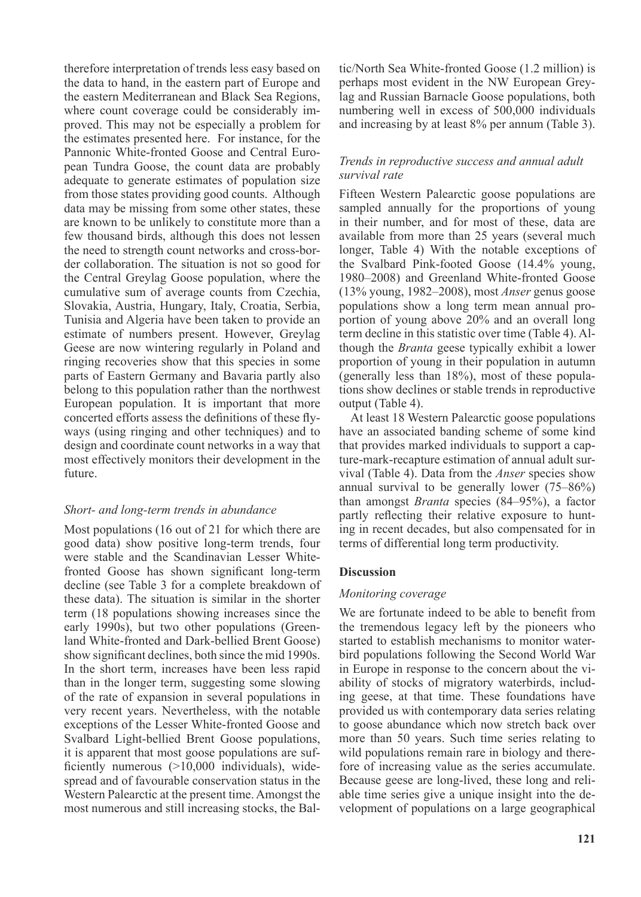therefore interpretation of trends less easy based on the data to hand, in the eastern part of Europe and the eastern Mediterranean and Black Sea Regions, where count coverage could be considerably improved. This may not be especially a problem for the estimates presented here. For instance, for the Pannonic White-fronted Goose and Central European Tundra Goose, the count data are probably adequate to generate estimates of population size from those states providing good counts. Although data may be missing from some other states, these are known to be unlikely to constitute more than a few thousand birds, although this does not lessen the need to strength count networks and cross-border collaboration. The situation is not so good for the Central Greylag Goose population, where the cumulative sum of average counts from Czechia, Slovakia, Austria, Hungary, Italy, Croatia, Serbia, Tunisia and Algeria have been taken to provide an estimate of numbers present. However, Greylag Geese are now wintering regularly in Poland and ringing recoveries show that this species in some parts of Eastern Germany and Bavaria partly also belong to this population rather than the northwest European population. It is important that more concerted efforts assess the definitions of these flyways (using ringing and other techniques) and to design and coordinate count networks in a way that most effectively monitors their development in the future.

## *Short- and long-term trends in abundance*

Most populations (16 out of 21 for which there are good data) show positive long-term trends, four were stable and the Scandinavian Lesser Whitefronted Goose has shown significant long-term decline (see Table 3 for a complete breakdown of these data). The situation is similar in the shorter term (18 populations showing increases since the early 1990s), but two other populations (Greenland White-fronted and Dark-bellied Brent Goose) show significant declines, both since the mid 1990s. In the short term, increases have been less rapid than in the longer term, suggesting some slowing of the rate of expansion in several populations in very recent years. Nevertheless, with the notable exceptions of the Lesser White-fronted Goose and Svalbard Light-bellied Brent Goose populations, it is apparent that most goose populations are sufficiently numerous (>10,000 individuals), widespread and of favourable conservation status in the Western Palearctic at the present time. Amongst the most numerous and still increasing stocks, the Baltic/North Sea White-fronted Goose (1.2 million) is perhaps most evident in the NW European Greylag and Russian Barnacle Goose populations, both numbering well in excess of 500,000 individuals and increasing by at least 8% per annum (Table 3).

#### *Trends in reproductive success and annual adult survival rate*

Fifteen Western Palearctic goose populations are sampled annually for the proportions of young in their number, and for most of these, data are available from more than 25 years (several much longer, Table 4) With the notable exceptions of the Svalbard Pink-footed Goose (14.4% young, 1980–2008) and Greenland White-fronted Goose (13% young, 1982–2008), most *Anser* genus goose populations show a long term mean annual proportion of young above 20% and an overall long term decline in this statistic over time (Table 4). Although the *Branta* geese typically exhibit a lower proportion of young in their population in autumn (generally less than 18%), most of these populations show declines or stable trends in reproductive output (Table 4).

At least 18 Western Palearctic goose populations have an associated banding scheme of some kind that provides marked individuals to support a capture-mark-recapture estimation of annual adult survival (Table 4). Data from the *Anser* species show annual survival to be generally lower (75–86%) than amongst *Branta* species (84–95%), a factor partly reflecting their relative exposure to hunting in recent decades, but also compensated for in terms of differential long term productivity.

## **Discussion**

#### *Monitoring coverage*

We are fortunate indeed to be able to benefit from the tremendous legacy left by the pioneers who started to establish mechanisms to monitor waterbird populations following the Second World War in Europe in response to the concern about the viability of stocks of migratory waterbirds, including geese, at that time. These foundations have provided us with contemporary data series relating to goose abundance which now stretch back over more than 50 years. Such time series relating to wild populations remain rare in biology and therefore of increasing value as the series accumulate. Because geese are long-lived, these long and reliable time series give a unique insight into the development of populations on a large geographical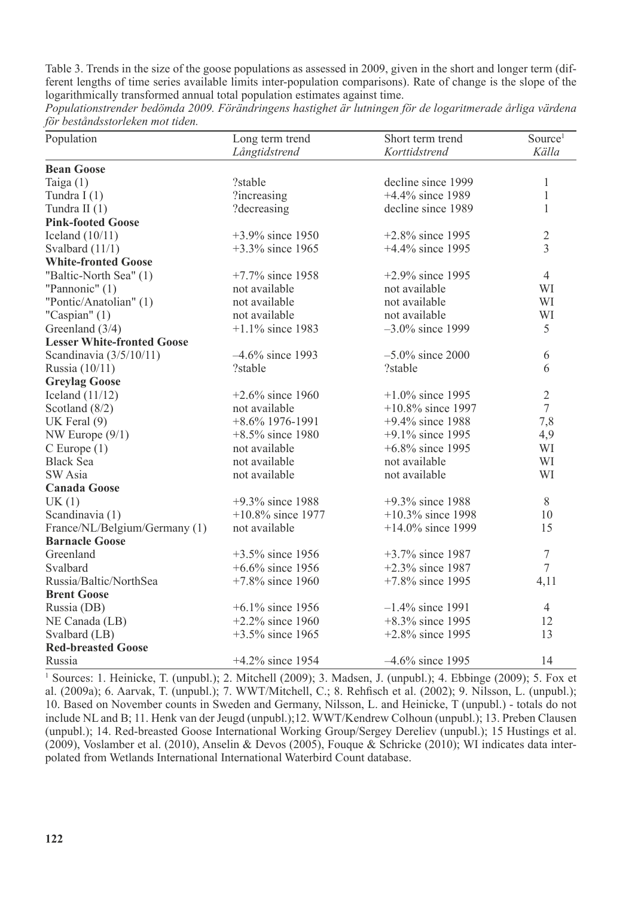Table 3. Trends in the size of the goose populations as assessed in 2009, given in the short and longer term (different lengths of time series available limits inter-population comparisons). Rate of change is the slope of the logarithmically transformed annual total population estimates against time.

*Populationstrender bedömda 2009. Förändringens hastighet är lutningen för de logaritmerade årliga värdena för beståndsstorleken mot tiden.*

| Population                        | Long term trend      | Short term trend     | Source <sup>1</sup> |
|-----------------------------------|----------------------|----------------------|---------------------|
|                                   | Långtidstrend        | Korttidstrend        | Källa               |
| <b>Bean Goose</b>                 |                      |                      |                     |
| Taiga $(1)$                       | ?stable              | decline since 1999   | 1                   |
| Tundra I $(1)$                    | ?increasing          | +4.4% since 1989     | $\mathbf{1}$        |
| Tundra II $(1)$                   | ?decreasing          | decline since 1989   | 1                   |
| <b>Pink-footed Goose</b>          |                      |                      |                     |
| Iceland $(10/11)$                 | $+3.9\%$ since 1950  | $+2.8\%$ since 1995  | $\sqrt{2}$          |
| Svalbard $(11/1)$                 | $+3.3\%$ since 1965  | $+4.4\%$ since 1995  | 3                   |
| <b>White-fronted Goose</b>        |                      |                      |                     |
| "Baltic-North Sea" (1)            | $+7.7\%$ since 1958  | $+2.9\%$ since 1995  | $\overline{4}$      |
| "Pannonic" (1)                    | not available        | not available        | WI                  |
| "Pontic/Anatolian" (1)            | not available        | not available        | WI                  |
| "Caspian" $(1)$                   | not available        | not available        | WI                  |
| Greenland $(3/4)$                 | $+1.1\%$ since 1983  | $-3.0\%$ since 1999  | 5                   |
| <b>Lesser White-fronted Goose</b> |                      |                      |                     |
| Scandinavia $(3/5/10/11)$         | $-4.6\%$ since 1993  | $-5.0\%$ since 2000  | 6                   |
| Russia (10/11)                    | ?stable              | ?stable              | 6                   |
| <b>Greylag Goose</b>              |                      |                      |                     |
| Iceland $(11/12)$                 | $+2.6\%$ since 1960  | $+1.0\%$ since 1995  | $\overline{2}$      |
| Scotland $(8/2)$                  | not available        | $+10.8\%$ since 1997 | $\boldsymbol{7}$    |
| UK Feral $(9)$                    | $+8.6\%$ 1976-1991   | $+9.4\%$ since 1988  | 7,8                 |
| NW Europe $(9/1)$                 | $+8.5\%$ since 1980  | $+9.1\%$ since 1995  | 4,9                 |
| $C$ Europe $(1)$                  | not available        | +6.8% since 1995     | WI                  |
| <b>Black Sea</b>                  | not available        | not available        | WI                  |
| SW Asia                           | not available        | not available        | WI                  |
| <b>Canada Goose</b>               |                      |                      |                     |
| UK(1)                             | $+9.3\%$ since 1988  | $+9.3\%$ since 1988  | 8                   |
| Scandinavia (1)                   | $+10.8\%$ since 1977 | $+10.3\%$ since 1998 | 10                  |
| France/NL/Belgium/Germany (1)     | not available        | $+14.0\%$ since 1999 | 15                  |
| <b>Barnacle Goose</b>             |                      |                      |                     |
| Greenland                         | $+3.5\%$ since 1956  | $+3.7\%$ since 1987  | 7                   |
| Svalbard                          | $+6.6\%$ since 1956  | $+2.3\%$ since 1987  | $\overline{7}$      |
| Russia/Baltic/NorthSea            | $+7.8\%$ since 1960  | $+7.8\%$ since 1995  | 4,11                |
| <b>Brent Goose</b>                |                      |                      |                     |
| Russia (DB)                       | $+6.1\%$ since 1956  | $-1.4\%$ since 1991  | $\overline{4}$      |
| NE Canada (LB)                    | $+2.2\%$ since 1960  | $+8.3\%$ since 1995  | 12                  |
| Svalbard (LB)                     | $+3.5\%$ since 1965  | $+2.8\%$ since 1995  | 13                  |
| <b>Red-breasted Goose</b>         |                      |                      |                     |
| Russia                            | $+4.2\%$ since 1954  | $-4.6\%$ since 1995  | 14                  |

<sup>1</sup> Sources: 1. Heinicke, T. (unpubl.); 2. Mitchell (2009); 3. Madsen, J. (unpubl.); 4. Ebbinge (2009); 5. Fox et al. (2009a); 6. Aarvak, T. (unpubl.); 7. WWT/Mitchell, C.; 8. Rehfisch et al. (2002); 9. Nilsson, L. (unpubl.); 10. Based on November counts in Sweden and Germany, Nilsson, L. and Heinicke, T (unpubl.) - totals do not include NL and B; 11. Henk van der Jeugd (unpubl.);12. WWT/Kendrew Colhoun (unpubl.); 13. Preben Clausen (unpubl.); 14. Red-breasted Goose International Working Group/Sergey Dereliev (unpubl.); 15 Hustings et al. (2009), Voslamber et al. (2010), Anselin & Devos (2005), Fouque & Schricke (2010); WI indicates data interpolated from Wetlands International International Waterbird Count database.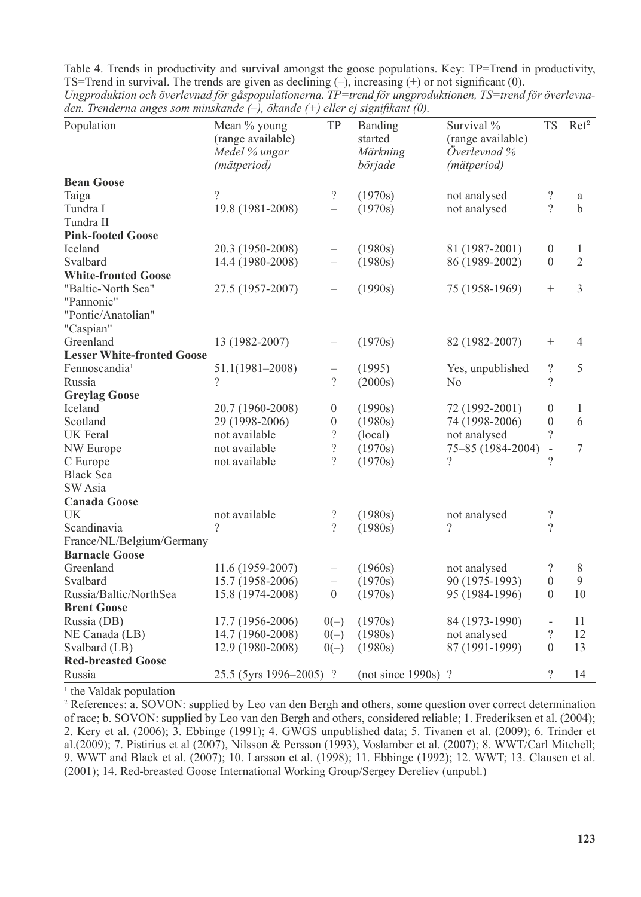| ach. Irchael na anges som minsianae (- ), onanae (- ) cuer ef signifikant (0).<br>Population | Mean % young<br>(range available)<br>Medel % ungar | TP                       | Banding<br>started<br>Märkning | Survival %<br>(range available)<br>Överlevnad % | <b>TS</b>                | Ref <sup>2</sup> |
|----------------------------------------------------------------------------------------------|----------------------------------------------------|--------------------------|--------------------------------|-------------------------------------------------|--------------------------|------------------|
|                                                                                              | (mätperiod)                                        |                          | började                        | (mätperiod)                                     |                          |                  |
| <b>Bean Goose</b>                                                                            |                                                    |                          |                                |                                                 |                          |                  |
| Taiga                                                                                        | $\gamma$                                           | $\overline{?}$           | (1970s)                        | not analysed                                    | $\overline{?}$           | a                |
| Tundra I                                                                                     | 19.8 (1981-2008)                                   | $\overline{a}$           | (1970s)                        | not analysed                                    | $\gamma$                 | $\mathbf b$      |
| Tundra II                                                                                    |                                                    |                          |                                |                                                 |                          |                  |
| <b>Pink-footed Goose</b>                                                                     |                                                    |                          |                                |                                                 |                          |                  |
| Iceland                                                                                      | 20.3 (1950-2008)                                   | $\overline{\phantom{0}}$ | (1980s)                        | 81 (1987-2001)                                  | $\boldsymbol{0}$         | $\mathbf{1}$     |
| Svalbard                                                                                     | 14.4 (1980-2008)                                   | $\overline{\phantom{0}}$ | (1980s)                        | 86 (1989-2002)                                  | $\theta$                 | $\overline{2}$   |
| <b>White-fronted Goose</b>                                                                   |                                                    |                          |                                |                                                 |                          |                  |
| "Baltic-North Sea"                                                                           | 27.5 (1957-2007)                                   | $\overline{\phantom{0}}$ | (1990s)                        | 75 (1958-1969)                                  | $\! + \!\!\!\!$          | $\mathfrak{Z}$   |
| "Pannonic"                                                                                   |                                                    |                          |                                |                                                 |                          |                  |
| "Pontic/Anatolian"                                                                           |                                                    |                          |                                |                                                 |                          |                  |
| "Caspian"                                                                                    |                                                    |                          |                                |                                                 |                          |                  |
| Greenland                                                                                    | 13 (1982-2007)                                     | $\overline{\phantom{0}}$ | (1970s)                        | 82 (1982-2007)                                  | $^{+}$                   | 4                |
| <b>Lesser White-fronted Goose</b>                                                            |                                                    |                          |                                |                                                 |                          |                  |
| Fennoscandia <sup>1</sup>                                                                    | $51.1(1981 - 2008)$                                | $\overline{\phantom{0}}$ | (1995)                         | Yes, unpublished                                | $\overline{?}$           | 5                |
| Russia                                                                                       | $\gamma$                                           | $\gamma$                 | (2000s)                        | N <sub>0</sub>                                  | $\gamma$                 |                  |
| <b>Greylag Goose</b>                                                                         |                                                    |                          |                                |                                                 |                          |                  |
| Iceland                                                                                      | 20.7 (1960-2008)                                   | $\theta$                 | (1990s)                        | 72 (1992-2001)                                  | $\mathbf{0}$             | 1                |
| Scotland                                                                                     | 29 (1998-2006)                                     | $\boldsymbol{0}$         | (1980s)                        | 74 (1998-2006)                                  | $\overline{0}$           | 6                |
| UK Feral                                                                                     | not available                                      | $\overline{\phantom{a}}$ | (local)                        | not analysed                                    | $\gamma$                 |                  |
| NW Europe                                                                                    | not available                                      | $\overline{\mathcal{L}}$ | (1970s)                        | 75-85 (1984-2004)                               | $\overline{\phantom{a}}$ | $\tau$           |
| C Europe                                                                                     | not available                                      | $\gamma$                 | (1970s)                        | $\gamma$                                        | $\gamma$                 |                  |
| <b>Black Sea</b>                                                                             |                                                    |                          |                                |                                                 |                          |                  |
| SW Asia                                                                                      |                                                    |                          |                                |                                                 |                          |                  |
| <b>Canada Goose</b>                                                                          |                                                    |                          |                                |                                                 |                          |                  |
| UK                                                                                           | not available                                      | $\overline{\mathcal{L}}$ | (1980s)                        | not analysed                                    | $\overline{?}$           |                  |
| Scandinavia                                                                                  | 9                                                  | $\gamma$                 | (1980s)                        | ?                                               | $\gamma$                 |                  |
| France/NL/Belgium/Germany                                                                    |                                                    |                          |                                |                                                 |                          |                  |
| <b>Barnacle Goose</b>                                                                        |                                                    |                          |                                |                                                 |                          |                  |
| Greenland                                                                                    | 11.6 (1959-2007)                                   | $\qquad \qquad -$        | (1960s)                        | not analysed                                    | $\overline{?}$           | 8                |
| Svalbard                                                                                     | 15.7 (1958-2006)                                   | $\overline{a}$           | (1970s)                        | 90 (1975-1993)                                  | $\overline{0}$           | 9                |
| Russia/Baltic/NorthSea                                                                       | 15.8 (1974-2008)                                   | $\theta$                 | (1970s)                        | 95 (1984-1996)                                  | $\overline{0}$           | 10               |
| <b>Brent Goose</b>                                                                           |                                                    |                          |                                |                                                 |                          |                  |
| Russia (DB)                                                                                  | 17.7 (1956-2006)                                   | $0(-)$                   | (1970s)                        | 84 (1973-1990)                                  | $\overline{\phantom{a}}$ | 11               |
| NE Canada (LB)                                                                               | 14.7 (1960-2008)                                   | $0(-)$                   | (1980s)                        | not analysed                                    | $\overline{?}$           | 12               |
| Svalbard (LB)                                                                                | 12.9 (1980-2008)                                   | $0(-)$                   | (1980s)                        | 87 (1991-1999)                                  | $\theta$                 | 13               |
| <b>Red-breasted Goose</b>                                                                    |                                                    |                          |                                |                                                 |                          |                  |
| Russia                                                                                       | 25.5 (5yrs 1996–2005) ?                            |                          | $(not since 1990s)$ ?          |                                                 | $\overline{?}$           | 14               |

Table 4. Trends in productivity and survival amongst the goose populations. Key: TP=Trend in productivity, TS=Trend in survival. The trends are given as declining (–), increasing (+) or not significant (0). *Ungproduktion och överlevnad för gåspopulationerna. TP=trend för ungproduktionen, TS=trend för överlevnaden. Trenderna anges som minskande (–), ökande (+) eller ej signifikant (0).*

<sup>1</sup> the Valdak population

<sup>2</sup> References: a. SOVON: supplied by Leo van den Bergh and others, some question over correct determination of race; b. SOVON: supplied by Leo van den Bergh and others, considered reliable; 1. Frederiksen et al. (2004); 2. Kery et al. (2006); 3. Ebbinge (1991); 4. GWGS unpublished data; 5. Tivanen et al. (2009); 6. Trinder et al.(2009); 7. Pistirius et al (2007), Nilsson & Persson (1993), Voslamber et al. (2007); 8. WWT/Carl Mitchell; 9. WWT and Black et al. (2007); 10. Larsson et al. (1998); 11. Ebbinge (1992); 12. WWT; 13. Clausen et al. (2001); 14. Red-breasted Goose International Working Group/Sergey Dereliev (unpubl.)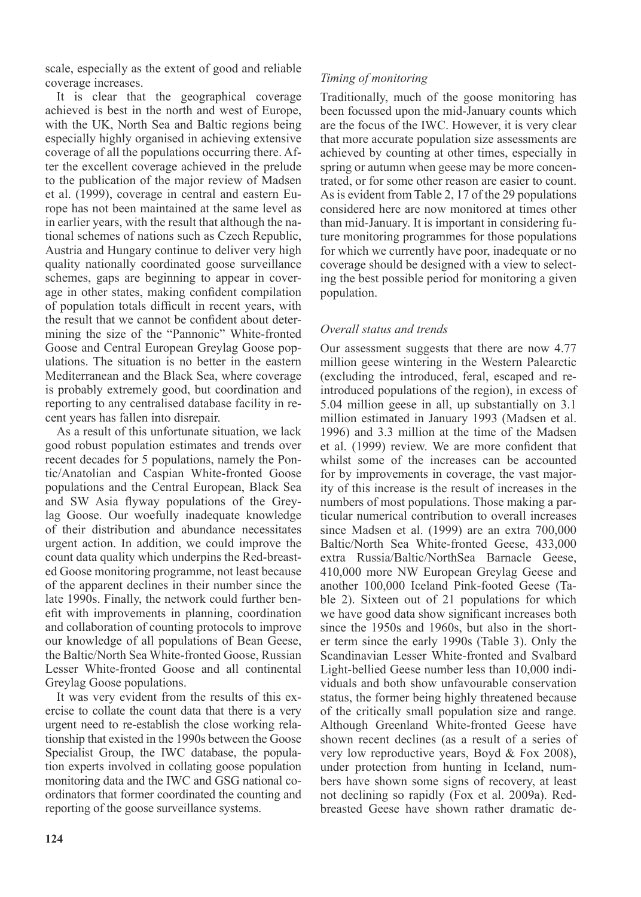scale, especially as the extent of good and reliable coverage increases.

It is clear that the geographical coverage achieved is best in the north and west of Europe, with the UK, North Sea and Baltic regions being especially highly organised in achieving extensive coverage of all the populations occurring there. After the excellent coverage achieved in the prelude to the publication of the major review of Madsen et al. (1999), coverage in central and eastern Europe has not been maintained at the same level as in earlier years, with the result that although the national schemes of nations such as Czech Republic, Austria and Hungary continue to deliver very high quality nationally coordinated goose surveillance schemes, gaps are beginning to appear in coverage in other states, making confident compilation of population totals difficult in recent years, with the result that we cannot be confident about determining the size of the "Pannonic" White-fronted Goose and Central European Greylag Goose populations. The situation is no better in the eastern Mediterranean and the Black Sea, where coverage is probably extremely good, but coordination and reporting to any centralised database facility in recent years has fallen into disrepair.

As a result of this unfortunate situation, we lack good robust population estimates and trends over recent decades for 5 populations, namely the Pontic/Anatolian and Caspian White-fronted Goose populations and the Central European, Black Sea and SW Asia flyway populations of the Greylag Goose. Our woefully inadequate knowledge of their distribution and abundance necessitates urgent action. In addition, we could improve the count data quality which underpins the Red-breasted Goose monitoring programme, not least because of the apparent declines in their number since the late 1990s. Finally, the network could further benefit with improvements in planning, coordination and collaboration of counting protocols to improve our knowledge of all populations of Bean Geese, the Baltic/North Sea White-fronted Goose, Russian Lesser White-fronted Goose and all continental Greylag Goose populations.

It was very evident from the results of this exercise to collate the count data that there is a very urgent need to re-establish the close working relationship that existed in the 1990s between the Goose Specialist Group, the IWC database, the population experts involved in collating goose population monitoring data and the IWC and GSG national coordinators that former coordinated the counting and reporting of the goose surveillance systems.

## *Timing of monitoring*

Traditionally, much of the goose monitoring has been focussed upon the mid-January counts which are the focus of the IWC. However, it is very clear that more accurate population size assessments are achieved by counting at other times, especially in spring or autumn when geese may be more concentrated, or for some other reason are easier to count. As is evident from Table 2, 17 of the 29 populations considered here are now monitored at times other than mid-January. It is important in considering future monitoring programmes for those populations for which we currently have poor, inadequate or no coverage should be designed with a view to selecting the best possible period for monitoring a given population.

## *Overall status and trends*

Our assessment suggests that there are now 4.77 million geese wintering in the Western Palearctic (excluding the introduced, feral, escaped and reintroduced populations of the region), in excess of 5.04 million geese in all, up substantially on 3.1 million estimated in January 1993 (Madsen et al. 1996) and 3.3 million at the time of the Madsen et al. (1999) review. We are more confident that whilst some of the increases can be accounted for by improvements in coverage, the vast majority of this increase is the result of increases in the numbers of most populations. Those making a particular numerical contribution to overall increases since Madsen et al. (1999) are an extra 700,000 Baltic/North Sea White-fronted Geese, 433,000 extra Russia/Baltic/NorthSea Barnacle Geese, 410,000 more NW European Greylag Geese and another 100,000 Iceland Pink-footed Geese (Table 2). Sixteen out of 21 populations for which we have good data show significant increases both since the 1950s and 1960s, but also in the shorter term since the early 1990s (Table 3). Only the Scandinavian Lesser White-fronted and Svalbard Light-bellied Geese number less than 10,000 individuals and both show unfavourable conservation status, the former being highly threatened because of the critically small population size and range. Although Greenland White-fronted Geese have shown recent declines (as a result of a series of very low reproductive years, Boyd & Fox 2008), under protection from hunting in Iceland, numbers have shown some signs of recovery, at least not declining so rapidly (Fox et al. 2009a). Redbreasted Geese have shown rather dramatic de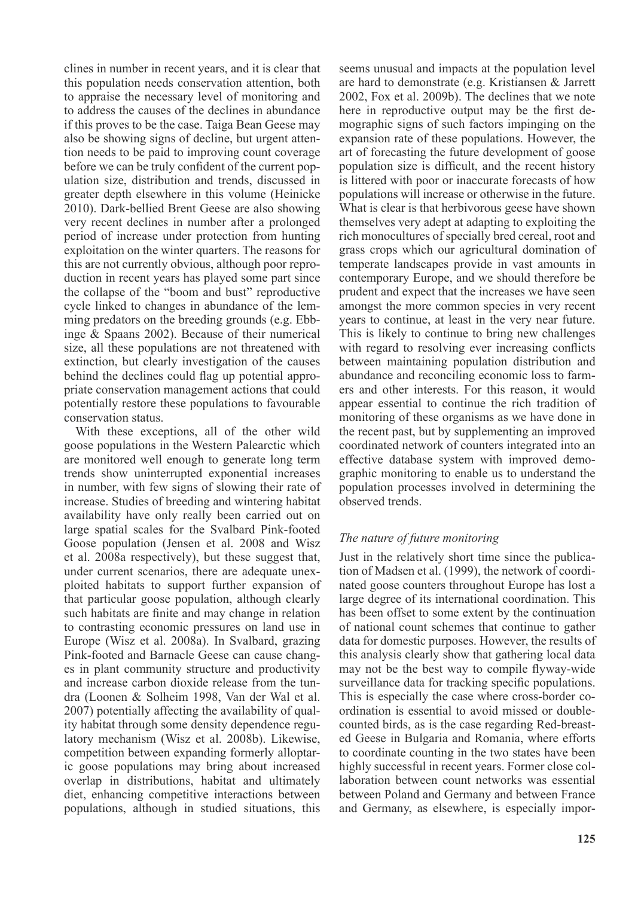clines in number in recent years, and it is clear that this population needs conservation attention, both to appraise the necessary level of monitoring and to address the causes of the declines in abundance if this proves to be the case. Taiga Bean Geese may also be showing signs of decline, but urgent attention needs to be paid to improving count coverage before we can be truly confident of the current population size, distribution and trends, discussed in greater depth elsewhere in this volume (Heinicke 2010). Dark-bellied Brent Geese are also showing very recent declines in number after a prolonged period of increase under protection from hunting exploitation on the winter quarters. The reasons for this are not currently obvious, although poor reproduction in recent years has played some part since the collapse of the "boom and bust" reproductive cycle linked to changes in abundance of the lemming predators on the breeding grounds (e.g. Ebbinge & Spaans 2002). Because of their numerical size, all these populations are not threatened with extinction, but clearly investigation of the causes behind the declines could flag up potential appropriate conservation management actions that could potentially restore these populations to favourable conservation status.

With these exceptions, all of the other wild goose populations in the Western Palearctic which are monitored well enough to generate long term trends show uninterrupted exponential increases in number, with few signs of slowing their rate of increase. Studies of breeding and wintering habitat availability have only really been carried out on large spatial scales for the Svalbard Pink-footed Goose population (Jensen et al. 2008 and Wisz et al. 2008a respectively), but these suggest that, under current scenarios, there are adequate unexploited habitats to support further expansion of that particular goose population, although clearly such habitats are finite and may change in relation to contrasting economic pressures on land use in Europe (Wisz et al. 2008a). In Svalbard, grazing Pink-footed and Barnacle Geese can cause changes in plant community structure and productivity and increase carbon dioxide release from the tundra (Loonen & Solheim 1998, Van der Wal et al. 2007) potentially affecting the availability of quality habitat through some density dependence regulatory mechanism (Wisz et al. 2008b). Likewise, competition between expanding formerly alloptaric goose populations may bring about increased overlap in distributions, habitat and ultimately diet, enhancing competitive interactions between populations, although in studied situations, this

seems unusual and impacts at the population level are hard to demonstrate (e.g. Kristiansen & Jarrett 2002, Fox et al. 2009b). The declines that we note here in reproductive output may be the first demographic signs of such factors impinging on the expansion rate of these populations. However, the art of forecasting the future development of goose population size is difficult, and the recent history is littered with poor or inaccurate forecasts of how populations will increase or otherwise in the future. What is clear is that herbivorous geese have shown themselves very adept at adapting to exploiting the rich monocultures of specially bred cereal, root and grass crops which our agricultural domination of temperate landscapes provide in vast amounts in contemporary Europe, and we should therefore be prudent and expect that the increases we have seen amongst the more common species in very recent years to continue, at least in the very near future. This is likely to continue to bring new challenges with regard to resolving ever increasing conflicts between maintaining population distribution and abundance and reconciling economic loss to farmers and other interests. For this reason, it would appear essential to continue the rich tradition of monitoring of these organisms as we have done in the recent past, but by supplementing an improved coordinated network of counters integrated into an effective database system with improved demographic monitoring to enable us to understand the population processes involved in determining the observed trends.

## *The nature of future monitoring*

Just in the relatively short time since the publication of Madsen et al. (1999), the network of coordinated goose counters throughout Europe has lost a large degree of its international coordination. This has been offset to some extent by the continuation of national count schemes that continue to gather data for domestic purposes. However, the results of this analysis clearly show that gathering local data may not be the best way to compile flyway-wide surveillance data for tracking specific populations. This is especially the case where cross-border coordination is essential to avoid missed or doublecounted birds, as is the case regarding Red-breasted Geese in Bulgaria and Romania, where efforts to coordinate counting in the two states have been highly successful in recent years. Former close collaboration between count networks was essential between Poland and Germany and between France and Germany, as elsewhere, is especially impor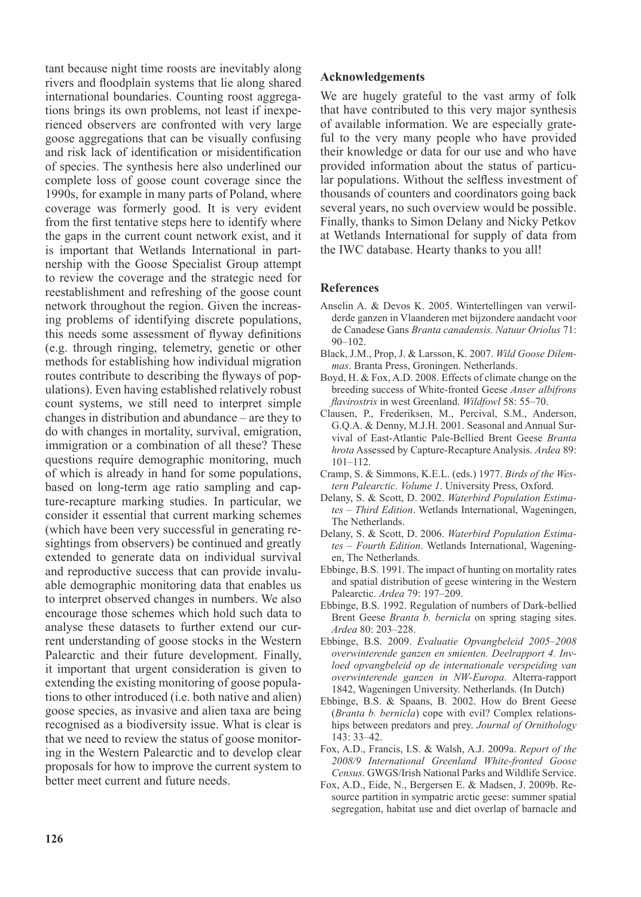tant because night time roosts are inevitably along rivers and floodplain systems that lie along shared international boundaries. Counting roost aggregations brings its own problems, not least if inexperienced observers are confronted with very large goose aggregations that can be visually confusing and risk lack of identification or misidentification of species. The synthesis here also underlined our complete loss of goose count coverage since the 1990s, for example in many parts of Poland, where coverage was formerly good. It is very evident from the first tentative steps here to identify where the gaps in the current count network exist, and it is important that Wetlands International in partnership with the Goose Specialist Group attempt to review the coverage and the strategic need for reestablishment and refreshing of the goose count network throughout the region. Given the increasing problems of identifying discrete populations, this needs some assessment of flyway definitions (e.g. through ringing, telemetry, genetic or other methods for establishing how individual migration routes contribute to describing the flyways of populations). Even having established relatively robust count systems, we still need to interpret simple changes in distribution and abundance – are they to do with changes in mortality, survival, emigration, immigration or a combination of all these? These questions require demographic monitoring, much of which is already in hand for some populations, based on long-term age ratio sampling and capture-recapture marking studies. In particular, we consider it essential that current marking schemes (which have been very successful in generating resightings from observers) be continued and greatly extended to generate data on individual survival and reproductive success that can provide invaluable demographic monitoring data that enables us to interpret observed changes in numbers. We also encourage those schemes which hold such data to analyse these datasets to further extend our current understanding of goose stocks in the Western Palearctic and their future development. Finally, it important that urgent consideration is given to extending the existing monitoring of goose populations to other introduced (i.e. both native and alien) goose species, as invasive and alien taxa are being recognised as a biodiversity issue. What is clear is that we need to review the status of goose monitoring in the Western Palearctic and to develop clear proposals for how to improve the current system to better meet current and future needs.

#### **Acknowledgements**

We are hugely grateful to the vast army of folk that have contributed to this very major synthesis of available information. We are especially grateful to the very many people who have provided their knowledge or data for our use and who have provided information about the status of particular populations. Without the selfless investment of thousands of counters and coordinators going back several years, no such overview would be possible. Finally, thanks to Simon Delany and Nicky Petkov at Wetlands International for supply of data from the IWC database. Hearty thanks to you all!

#### **References**

- Anselin A. & Devos K. 2005. Wintertellingen van verwilderde ganzen in Vlaanderen met bijzondere aandacht voor de Canadese Gans *Branta canadensis. Natuur Oriolus* 71: 90–102.
- Black, J.M., Prop, J. & Larsson, K. 2007. *Wild Goose Dilemmas*. Branta Press, Groningen. Netherlands.
- Boyd, H. & Fox, A.D. 2008. Effects of climate change on the breeding success of White-fronted Geese *Anser albifrons flavirostris* in west Greenland. *Wildfowl* 58: 55–70.
- Clausen, P., Frederiksen, M., Percival, S.M., Anderson, G.Q.A. & Denny, M.J.H. 2001. Seasonal and Annual Survival of East-Atlantic Pale-Bellied Brent Geese *Branta hrota* Assessed by Capture-Recapture Analysis. *Ardea* 89: 101–112.
- Cramp, S. & Simmons, K.E.L. (eds.) 1977. *Birds of the Western Palearctic. Volume 1*. University Press, Oxford.
- Delany, S. & Scott, D. 2002. *Waterbird Population Estimates – Third Edition*. Wetlands International, Wageningen, The Netherlands.
- Delany, S. & Scott, D. 2006. *Waterbird Population Estimates – Fourth Edition*. Wetlands International, Wageningen, The Netherlands.
- Ebbinge, B.S. 1991. The impact of hunting on mortality rates and spatial distribution of geese wintering in the Western Palearctic. *Ardea* 79: 197–209.
- Ebbinge, B.S. 1992. Regulation of numbers of Dark-bellied Brent Geese *Branta b. bernicla* on spring staging sites. *Ardea* 80: 203–228.
- Ebbinge, B.S. 2009. *Evaluatie Opvangbeleid 2005–2008 overwinterende ganzen en smienten. Deelrapport 4. Invloed opvangbeleid op de internationale verspeiding van overwinterende ganzen in NW-Europa*. Alterra-rapport 1842, Wageningen University. Netherlands. (In Dutch)
- Ebbinge, B.S. & Spaans, B. 2002. How do Brent Geese (*Branta b. bernicla*) cope with evil? Complex relationships between predators and prey. *Journal of Ornithology*  143: 33–42.
- Fox, A.D., Francis, I.S. & Walsh, A.J. 2009a. *Report of the 2008/9 International Greenland White-fronted Goose Census*. GWGS/Irish National Parks and Wildlife Service.
- Fox, A.D., Eide, N., Bergersen E. & Madsen, J. 2009b. Resource partition in sympatric arctic geese: summer spatial segregation, habitat use and diet overlap of barnacle and